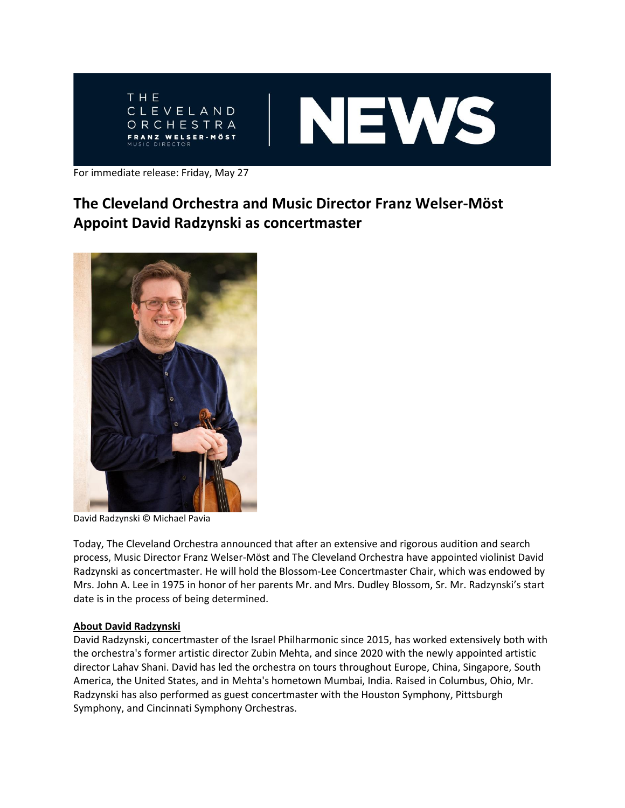

For immediate release: Friday, May 27

## **The Cleveland Orchestra and Music Director Franz Welser-Möst Appoint David Radzynski as concertmaster**



David Radzynski © Michael Pavia

Today, The Cleveland Orchestra announced that after an extensive and rigorous audition and search process, Music Director Franz Welser-Möst and The Cleveland Orchestra have appointed violinist David Radzynski as concertmaster. He will hold the Blossom-Lee Concertmaster Chair, which was endowed by Mrs. John A. Lee in 1975 in honor of her parents Mr. and Mrs. Dudley Blossom, Sr. Mr. Radzynski's start date is in the process of being determined.

## **About David Radzynski**

David Radzynski, concertmaster of the Israel Philharmonic since 2015, has worked extensively both with the orchestra's former artistic director Zubin Mehta, and since 2020 with the newly appointed artistic director Lahav Shani. David has led the orchestra on tours throughout Europe, China, Singapore, South America, the United States, and in Mehta's hometown Mumbai, India. Raised in Columbus, Ohio, Mr. Radzynski has also performed as guest concertmaster with the Houston Symphony, Pittsburgh Symphony, and Cincinnati Symphony Orchestras.